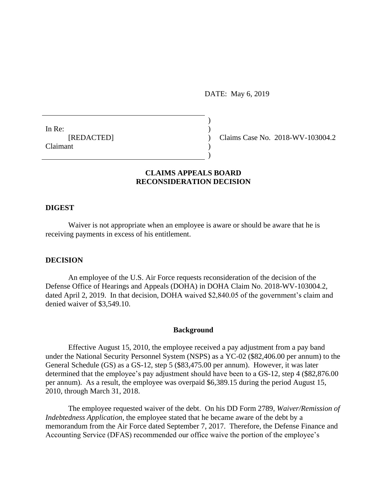DATE: May 6, 2019

In Re:  $\qquad \qquad$ ) **Claimant** 

[REDACTED] ) Claims Case No. 2018-WV-103004.2

## **CLAIMS APPEALS BOARD RECONSIDERATION DECISION**

)

 $\overline{)}$ 

#### **DIGEST**

Waiver is not appropriate when an employee is aware or should be aware that he is receiving payments in excess of his entitlement.

### **DECISION**

An employee of the U.S. Air Force requests reconsideration of the decision of the Defense Office of Hearings and Appeals (DOHA) in DOHA Claim No. 2018-WV-103004.2, dated April 2, 2019. In that decision, DOHA waived \$2,840.05 of the government's claim and denied waiver of \$3,549.10.

#### **Background**

Effective August 15, 2010, the employee received a pay adjustment from a pay band under the National Security Personnel System (NSPS) as a YC-02 (\$82,406.00 per annum) to the General Schedule (GS) as a GS-12, step 5 (\$83,475.00 per annum). However, it was later determined that the employee's pay adjustment should have been to a GS-12, step 4 (\$82,876.00 per annum). As a result, the employee was overpaid \$6,389.15 during the period August 15, 2010, through March 31, 2018.

The employee requested waiver of the debt. On his DD Form 2789, *Waiver/Remission of Indebtedness Application*, the employee stated that he became aware of the debt by a memorandum from the Air Force dated September 7, 2017. Therefore, the Defense Finance and Accounting Service (DFAS) recommended our office waive the portion of the employee's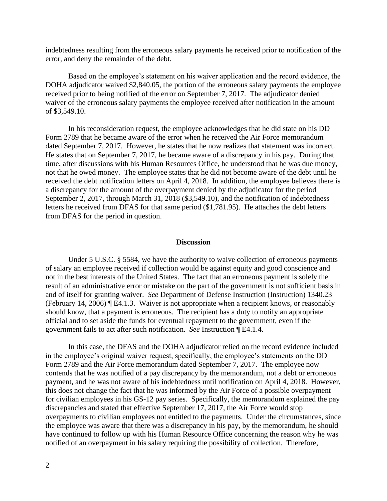indebtedness resulting from the erroneous salary payments he received prior to notification of the error, and deny the remainder of the debt.

Based on the employee's statement on his waiver application and the record evidence, the DOHA adjudicator waived \$2,840.05, the portion of the erroneous salary payments the employee received prior to being notified of the error on September 7, 2017. The adjudicator denied waiver of the erroneous salary payments the employee received after notification in the amount of \$3,549.10.

In his reconsideration request, the employee acknowledges that he did state on his DD Form 2789 that he became aware of the error when he received the Air Force memorandum dated September 7, 2017. However, he states that he now realizes that statement was incorrect. He states that on September 7, 2017, he became aware of a discrepancy in his pay. During that time, after discussions with his Human Resources Office, he understood that he was due money, not that he owed money. The employee states that he did not become aware of the debt until he received the debt notification letters on April 4, 2018. In addition, the employee believes there is a discrepancy for the amount of the overpayment denied by the adjudicator for the period September 2, 2017, through March 31, 2018 (\$3,549.10), and the notification of indebtedness letters he received from DFAS for that same period (\$1,781.95). He attaches the debt letters from DFAS for the period in question.

#### **Discussion**

Under 5 U.S.C. § 5584, we have the authority to waive collection of erroneous payments of salary an employee received if collection would be against equity and good conscience and not in the best interests of the United States. The fact that an erroneous payment is solely the result of an administrative error or mistake on the part of the government is not sufficient basis in and of itself for granting waiver. *See* Department of Defense Instruction (Instruction) 1340.23 (February 14, 2006) ¶ E4.1.3. Waiver is not appropriate when a recipient knows, or reasonably should know, that a payment is erroneous. The recipient has a duty to notify an appropriate official and to set aside the funds for eventual repayment to the government, even if the government fails to act after such notification. *See* Instruction ¶ E4.1.4.

In this case, the DFAS and the DOHA adjudicator relied on the record evidence included in the employee's original waiver request, specifically, the employee's statements on the DD Form 2789 and the Air Force memorandum dated September 7, 2017. The employee now contends that he was notified of a pay discrepancy by the memorandum, not a debt or erroneous payment, and he was not aware of his indebtedness until notification on April 4, 2018. However, this does not change the fact that he was informed by the Air Force of a possible overpayment for civilian employees in his GS-12 pay series. Specifically, the memorandum explained the pay discrepancies and stated that effective September 17, 2017, the Air Force would stop overpayments to civilian employees not entitled to the payments. Under the circumstances, since the employee was aware that there was a discrepancy in his pay, by the memorandum, he should have continued to follow up with his Human Resource Office concerning the reason why he was notified of an overpayment in his salary requiring the possibility of collection. Therefore,